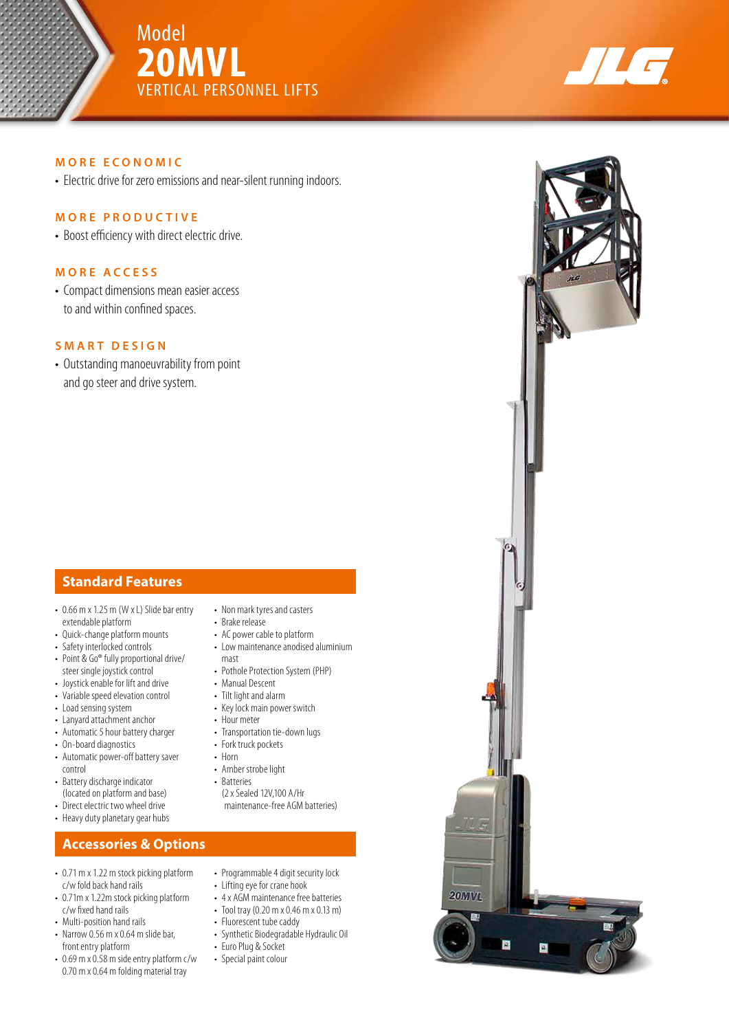





#### **MORE ECONOMIC**

• Electric drive for zero emissions and near-silent running indoors.

#### **MORE PRODUCTIVE**

• Boost efficiency with direct electric drive.

#### **MORE ACCESS**

• Compact dimensions mean easier access to and within confined spaces.

#### **SMART DESIGN**

• Outstanding manoeuvrability from point and go steer and drive system.

#### **Standard Features**

- 0.66 m x 1.25 m (W x L) Slide bar entry extendable platform
- Quick-change platform mounts
- Safety interlocked controls
- Point & Go® fully proportional drive/ steer single joystick control
- Joystick enable for lift and drive • Variable speed elevation control
- Load sensing system
- Lanyard attachment anchor
- Automatic 5 hour battery charger
- On-board diagnostics
- Automatic power-off battery saver control
- Battery discharge indicator (located on platform and base)
- Direct electric two wheel drive
- Heavy duty planetary gear hubs

### **Accessories & Options**

- 0.71 m x 1.22 m stock picking platform c/w fold back hand rails
- 0.71m x 1.22m stock picking platform c/w fixed hand rails
- Multi-position hand rails
- Narrow 0.56 m x 0.64 m slide bar, front entry platform
- 0.69 m x 0.58 m side entry platform c/w 0.70 m x 0.64 m folding material tray
- Non mark tyres and casters
- Brake release
- AC power cable to platform
- Low maintenance anodised aluminium mast
- Pothole Protection System (PHP)
- Manual Descent
- Tilt light and alarm
- Key lock main power switch
- Hour meter • Transportation tie-down lugs
- Fork truck pockets
- Horn
- Amber strobe light
- Batteries
	- (2 x Sealed 12V,100 A/Hr maintenance-free AGM batteries)
- Programmable 4 digit security lock
- Lifting eye for crane hook
- 4 x AGM maintenance free batteries
- Tool tray (0.20 m x 0.46 m x 0.13 m)
- Fluorescent tube caddy
- Synthetic Biodegradable Hydraulic Oil
- Euro Plug & Socket
- Special paint colour